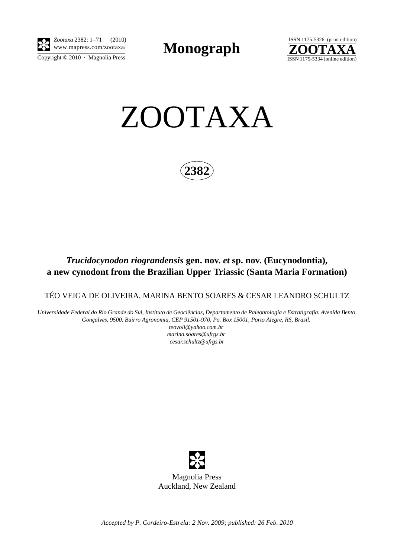

*Zootaxa* 2382: 1–71 (2010) www.mapress.com/zootaxa/ **Monograph**





**2382**

# *Trucidocynodon riograndensis* **gen. nov.** *et* **sp. nov. (Eucynodontia), a new cynodont from the Brazilian Upper Triassic (Santa Maria Formation)**

TÉO VEIGA DE OLIVEIRA, MARINA BENTO SOARES & CESAR LEANDRO SCHULTZ

*Universidade Federal do Rio Grande do Sul, Instituto de Geociências, Departamento de Paleontologia e Estratigrafia. Avenida Bento Gonçalves, 9500, Bairro Agronomia, CEP 91501-970, Po. Box 15001, Porto Alegre, RS, Brasil. teovoli@yahoo.com.br marina.soares@ufrgs.br* 

*cesar.schultz@ufrgs.br*



*Accepted by P. Cordeiro-Estrela: 2 Nov. 2009; published: 26 Feb. 2010*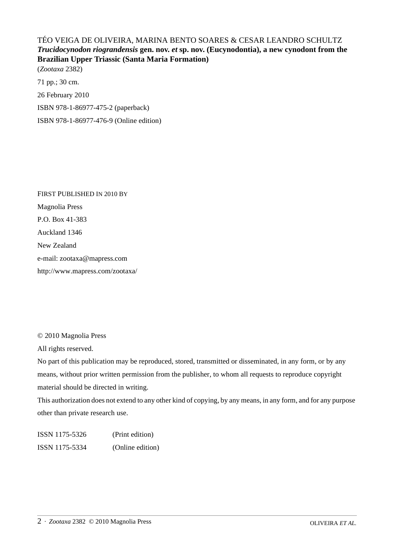# TÉO VEIGA DE OLIVEIRA, MARINA BENTO SOARES & CESAR LEANDRO SCHULTZ *Trucidocynodon riograndensis* **gen. nov.** *et* **sp. nov. (Eucynodontia), a new cynodont from the Brazilian Upper Triassic (Santa Maria Formation)**

(*Zootaxa* 2382) 71 pp.; 30 cm. 26 February 2010 ISBN 978-1-86977-475-2 (paperback) ISBN 978-1-86977-476-9 (Online edition)

FIRST PUBLISHED IN 2010 BY Magnolia Press P.O. Box 41-383 Auckland 1346 New Zealand e-mail: zootaxa@mapress.com http://www.mapress.com/zootaxa/

© 2010 Magnolia Press

All rights reserved.

No part of this publication may be reproduced, stored, transmitted or disseminated, in any form, or by any means, without prior written permission from the publisher, to whom all requests to reproduce copyright material should be directed in writing.

This authorization does not extend to any other kind of copying, by any means, in any form, and for any purpose other than private research use.

ISSN 1175-5326 (Print edition) ISSN 1175-5334 (Online edition)